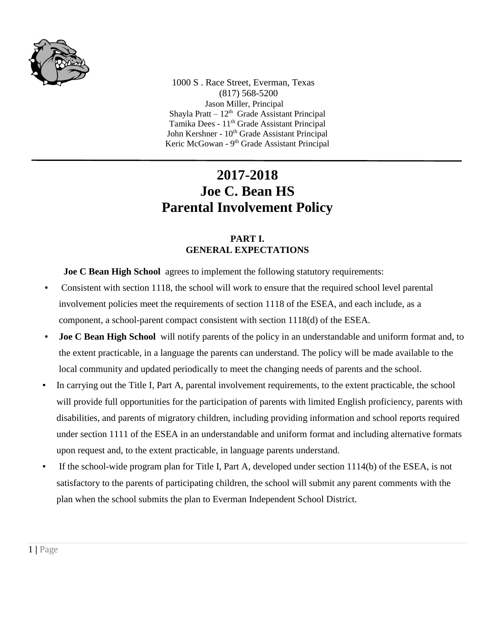

 1000 S . Race Street, Everman, Texas (817) 568-5200 Jason Miller, Principal Shayla Pratt  $-12<sup>th</sup>$  Grade Assistant Principal Tamika Dees - 11<sup>th</sup> Grade Assistant Principal John Kershner - 10<sup>th</sup> Grade Assistant Principal Keric McGowan - 9<sup>th</sup> Grade Assistant Principal

# **2017-2018 Joe C. Bean HS Parental Involvement Policy**

### **PART I. GENERAL EXPECTATIONS**

**Joe C Bean High School** agrees to implement the following statutory requirements:

- Consistent with section 1118, the school will work to ensure that the required school level parental involvement policies meet the requirements of section 1118 of the ESEA, and each include, as a component, a school-parent compact consistent with section 1118(d) of the ESEA.
- **Joe C Bean High School** will notify parents of the policy in an understandable and uniform format and, to the extent practicable, in a language the parents can understand. The policy will be made available to the local community and updated periodically to meet the changing needs of parents and the school.
- In carrying out the Title I, Part A, parental involvement requirements, to the extent practicable, the school will provide full opportunities for the participation of parents with limited English proficiency, parents with disabilities, and parents of migratory children, including providing information and school reports required under section 1111 of the ESEA in an understandable and uniform format and including alternative formats upon request and, to the extent practicable, in language parents understand.
- If the school-wide program plan for Title I, Part A, developed under section  $1114(b)$  of the ESEA, is not satisfactory to the parents of participating children, the school will submit any parent comments with the plan when the school submits the plan to Everman Independent School District.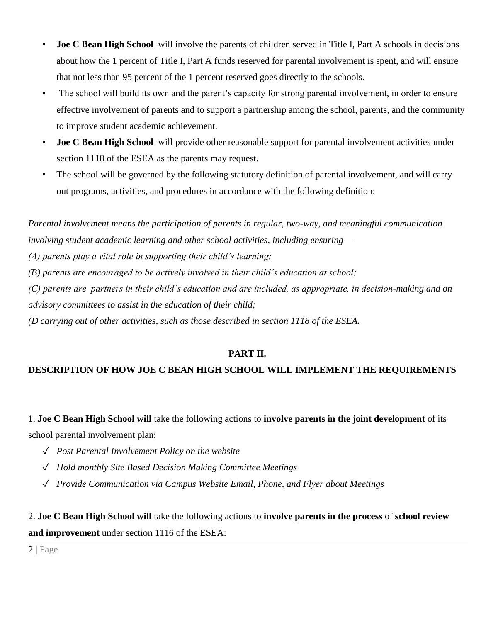- **Joe C Bean High School** will involve the parents of children served in Title I, Part A schools in decisions about how the 1 percent of Title I, Part A funds reserved for parental involvement is spent, and will ensure that not less than 95 percent of the 1 percent reserved goes directly to the schools.
- The school will build its own and the parent's capacity for strong parental involvement, in order to ensure effective involvement of parents and to support a partnership among the school, parents, and the community to improve student academic achievement.
- **Joe C Bean High School** will provide other reasonable support for parental involvement activities under section 1118 of the ESEA as the parents may request.
- The school will be governed by the following statutory definition of parental involvement, and will carry out programs, activities, and procedures in accordance with the following definition:

*Parental involvement means the participation of parents in regular, two-way, and meaningful communication involving student academic learning and other school activities, including ensuring— (A) parents play a vital role in supporting their child's learning;*

*(B) parents are encouraged to be actively involved in their child's education at school;*

*(C) parents are partners in their child's education and are included, as appropriate, in decision-making and on advisory committees to assist in the education of their child;*

*(D carrying out of other activities, such as those described in section 1118 of the ESEA.*

## **PART II.**

## **DESCRIPTION OF HOW JOE C BEAN HIGH SCHOOL WILL IMPLEMENT THE REQUIREMENTS**

1. **Joe C Bean High School will** take the following actions to **involve parents in the joint development** of its school parental involvement plan:

- ✓ *Post Parental Involvement Policy on the website*
- ✓ *Hold monthly Site Based Decision Making Committee Meetings*
- ✓ *Provide Communication via Campus Website Email, Phone, and Flyer about Meetings*

2. **Joe C Bean High School will** take the following actions to **involve parents in the process** of **school review and improvement** under section 1116 of the ESEA:

2 **|** Page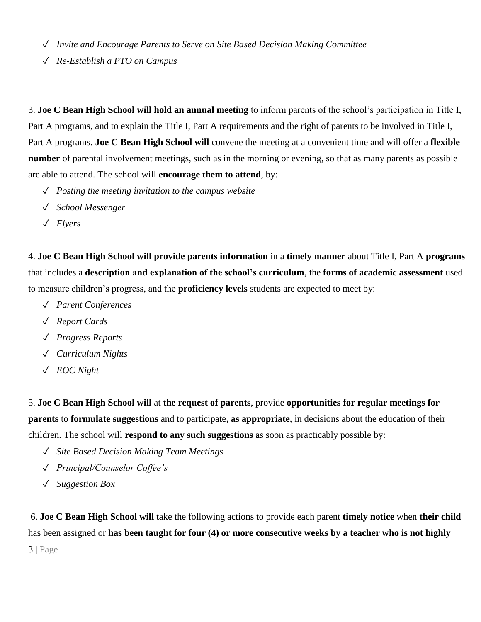- ✓ *Invite and Encourage Parents to Serve on Site Based Decision Making Committee*
- ✓ *Re-Establish a PTO on Campus*

3. **Joe C Bean High School will hold an annual meeting** to inform parents of the school's participation in Title I, Part A programs, and to explain the Title I, Part A requirements and the right of parents to be involved in Title I, Part A programs. **Joe C Bean High School will** convene the meeting at a convenient time and will offer a **flexible number** of parental involvement meetings, such as in the morning or evening, so that as many parents as possible are able to attend. The school will **encourage them to attend**, by:

- ✓ *Posting the meeting invitation to the campus website*
- ✓ *School Messenger*
- ✓ *Flyers*

4. **Joe C Bean High School will provide parents information** in a **timely manner** about Title I, Part A **programs** that includes a **description and explanation of the school's curriculum**, the **forms of academic assessment** used to measure children's progress, and the **proficiency levels** students are expected to meet by:

- ✓ *Parent Conferences*
- ✓ *Report Cards*
- ✓ *Progress Reports*
- ✓ *Curriculum Nights*
- ✓ *EOC Night*

5. **Joe C Bean High School will** at **the request of parents**, provide **opportunities for regular meetings for parents** to **formulate suggestions** and to participate, **as appropriate**, in decisions about the education of their children. The school will **respond to any such suggestions** as soon as practicably possible by:

- ✓ *Site Based Decision Making Team Meetings*
- ✓ *Principal/Counselor Coffee's*
- ✓ *Suggestion Box*

6. **Joe C Bean High School will** take the following actions to provide each parent **timely notice** when **their child** has been assigned or **has been taught for four (4) or more consecutive weeks by a teacher who is not highly** 

3 **|** Page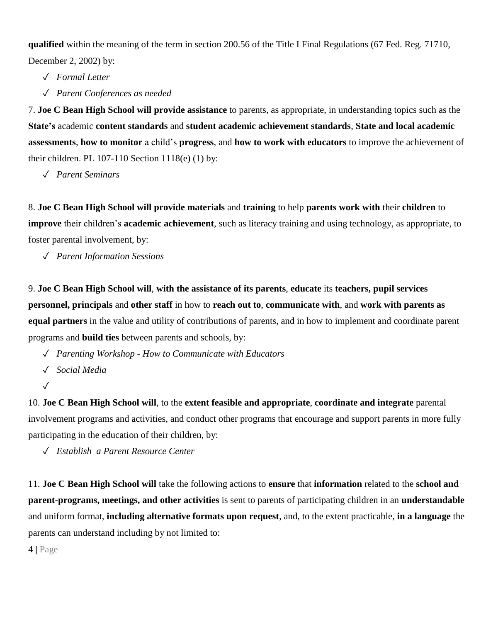**qualified** within the meaning of the term in section 200.56 of the Title I Final Regulations (67 Fed. Reg. 71710, December 2, 2002) by:

✓ *Formal Letter*

✓ *Parent Conferences as needed*

7. **Joe C Bean High School will provide assistance** to parents, as appropriate, in understanding topics such as the **State's** academic **content standards** and **student academic achievement standards**, **State and local academic assessments**, **how to monitor** a child's **progress**, and **how to work with educators** to improve the achievement of their children. PL 107-110 Section 1118(e) (1) by:

✓ *Parent Seminars*

8. **Joe C Bean High School will provide materials** and **training** to help **parents work with** their **children** to **improve** their children's **academic achievement**, such as literacy training and using technology, as appropriate, to foster parental involvement, by:

✓ *Parent Information Sessions*

9. **Joe C Bean High School will**, **with the assistance of its parents**, **educate** its **teachers, pupil services personnel, principals** and **other staff** in how to **reach out to**, **communicate with**, and **work with parents as equal partners** in the value and utility of contributions of parents, and in how to implement and coordinate parent programs and **build ties** between parents and schools, by:

- ✓ *Parenting Workshop - How to Communicate with Educators*
- ✓ *Social Media*
- ✓

10. **Joe C Bean High School will**, to the **extent feasible and appropriate**, **coordinate and integrate** parental involvement programs and activities, and conduct other programs that encourage and support parents in more fully participating in the education of their children, by:

✓ *Establish a Parent Resource Center*

11. **Joe C Bean High School will** take the following actions to **ensure** that **information** related to the **school and parent-programs, meetings, and other activities** is sent to parents of participating children in an **understandable** and uniform format, **including alternative formats upon request**, and, to the extent practicable, **in a language** the parents can understand including by not limited to:

4 **|** Page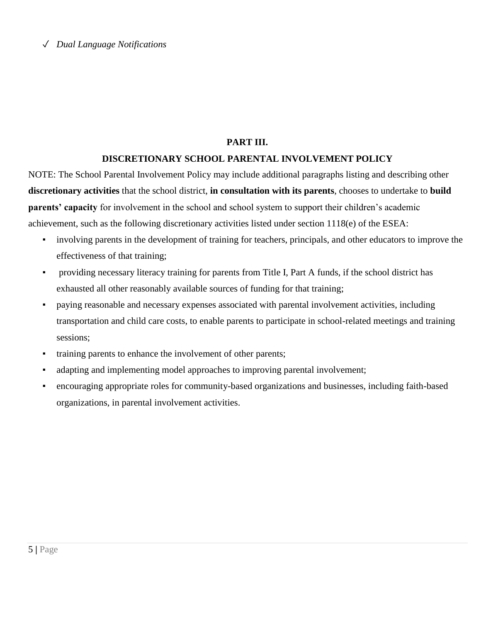#### **PART III.**

#### **DISCRETIONARY SCHOOL PARENTAL INVOLVEMENT POLICY**

NOTE: The School Parental Involvement Policy may include additional paragraphs listing and describing other **discretionary activities** that the school district, **in consultation with its parents**, chooses to undertake to **build parents' capacity** for involvement in the school and school system to support their children's academic achievement, such as the following discretionary activities listed under section 1118(e) of the ESEA:

- involving parents in the development of training for teachers, principals, and other educators to improve the effectiveness of that training;
- providing necessary literacy training for parents from Title I, Part A funds, if the school district has exhausted all other reasonably available sources of funding for that training;
- paying reasonable and necessary expenses associated with parental involvement activities, including transportation and child care costs, to enable parents to participate in school-related meetings and training sessions;
- training parents to enhance the involvement of other parents;
- adapting and implementing model approaches to improving parental involvement;
- encouraging appropriate roles for community-based organizations and businesses, including faith-based organizations, in parental involvement activities.